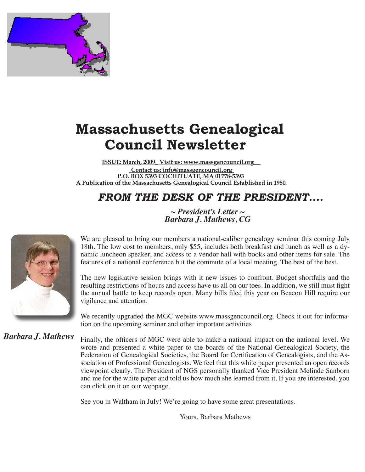

# **Massachusetts Genealogical Council Newsletter**

**ISSUE: March, 2009\_ Visit us: www.massgencouncil.org\_\_ Contact us: info@massgencouncil.org P.O. BOX 5393 COCHITUATE, MA 01778-5393 A Publication of the Massachusetts Genealogical Council Established in 1980**

## *FROM THE DESK OF THE PRESIDENT....*

*~ President's Letter ~ Barbara J. Mathews, CG*



We are pleased to bring our members a national-caliber genealogy seminar this coming July 18th. The low cost to members, only \$55, includes both breakfast and lunch as well as a dynamic luncheon speaker, and access to a vendor hall with books and other items for sale. The features of a national conference but the commute of a local meeting. The best of the best.

The new legislative session brings with it new issues to confront. Budget shortfalls and the resulting restrictions of hours and access have us all on our toes. In addition, we still must fight the annual battle to keep records open. Many bills filed this year on Beacon Hill require our vigilance and attention.

We recently upgraded the MGC website www.massgencouncil.org. Check it out for information on the upcoming seminar and other important activities.

*Barbara J. Mathews*

Finally, the officers of MGC were able to make a national impact on the national level. We wrote and presented a white paper to the boards of the National Genealogical Society, the Federation of Genealogical Societies, the Board for Certification of Genealogists, and the Association of Professional Genealogists. We feel that this white paper presented an open records viewpoint clearly. The President of NGS personally thanked Vice President Melinde Sanborn and me for the white paper and told us how much she learned from it. If you are interested, you can click on it on our webpage.

See you in Waltham in July! We're going to have some great presentations.

Yours, Barbara Mathews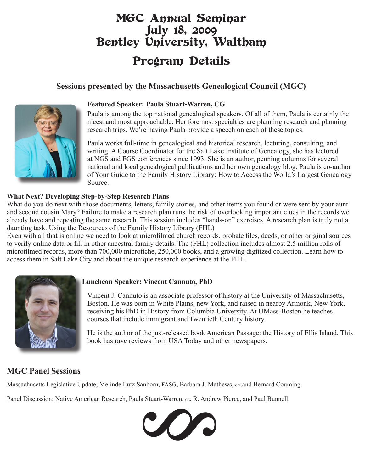# MGC Annual Seminar July 18, 2009 Bentley University, Waltham Program Details

#### **Sessions presented by the Massachusetts Genealogical Council (MGC)**



#### **Featured Speaker: Paula Stuart-Warren, CG**

Paula is among the top national genealogical speakers. Of all of them, Paula is certainly the nicest and most approachable. Her foremost specialties are planning research and planning research trips. We're having Paula provide a speech on each of these topics.

Paula works full-time in genealogical and historical research, lecturing, consulting, and writing. A Course Coordinator for the Salt Lake Institute of Genealogy, she has lectured at NGS and FGS conferences since 1993. She is an author, penning columns for several national and local genealogical publications and her own genealogy blog. Paula is co-author of Your Guide to the Family History Library: How to Access the World's Largest Genealogy Source.

#### **What Next? Developing Step-by-Step Research Plans**

What do you do next with those documents, letters, family stories, and other items you found or were sent by your aunt and second cousin Mary? Failure to make a research plan runs the risk of overlooking important clues in the records we already have and repeating the same research. This session includes "hands-on" exercises. A research plan is truly not a daunting task. Using the Resources of the Family History Library (FHL)

Even with all that is online we need to look at microfilmed church records, probate files, deeds, or other original sources to verify online data or fill in other ancestral family details. The (FHL) collection includes almost 2.5 million rolls of microfilmed records, more than 700,000 microfiche, 250,000 books, and a growing digitized collection. Learn how to access them in Salt Lake City and about the unique research experience at the FHL.



#### **Luncheon Speaker: Vincent Cannuto, PhD**

Vincent J. Cannuto is an associate professor of history at the University of Massachusetts, Boston. He was born in White Plains, new York, and raised in nearby Armonk, New York, receiving his PhD in History from Columbia University. At UMass-Boston he teaches courses that include immigrant and Twentieth Century history.

He is the author of the just-released book American Passage: the History of Ellis Island. This book has rave reviews from USA Today and other newspapers.

#### **MGC Panel Sessions**

Massachusetts Legislative Update, Melinde Lutz Sanborn, FASG, Barbara J. Mathews, co ,and Bernard Couming.

Panel Discussion: Native American Research, Paula Stuart-Warren, co, R. Andrew Pierce, and Paul Bunnell.

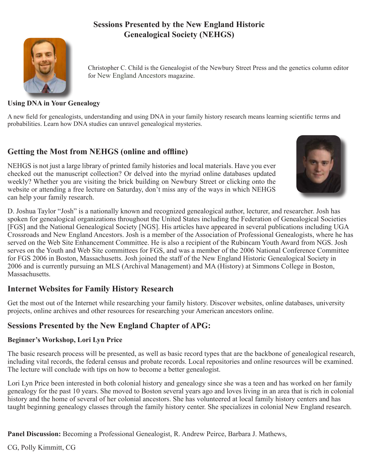#### **Sessions Presented by the New England Historic Genealogical Society (NEHGS)**



Christopher C. Child is the Genealogist of the Newbury Street Press and the genetics column editor for New England Ancestors magazine.

#### **Using DNA in Your Genealogy**

A new field for genealogists, understanding and using DNA in your family history research means learning scientific terms and probabilities. Learn how DNA studies can unravel genealogical mysteries.

#### **Getting the Most from NEHGS (online and offline)**

NEHGS is not just a large library of printed family histories and local materials. Have you ever checked out the manuscript collection? Or delved into the myriad online databases updated weekly? Whether you are visiting the brick building on Newbury Street or clicking onto the website or attending a free lecture on Saturday, don't miss any of the ways in which NEHGS can help your family research.



D. Joshua Taylor "Josh" is a nationally known and recognized genealogical author, lecturer, and researcher. Josh has spoken for genealogical organizations throughout the United States including the Federation of Genealogical Societies [FGS] and the National Genealogical Society [NGS]. His articles have appeared in several publications including UGA Crossroads and New England Ancestors. Josh is a member of the Association of Professional Genealogists, where he has served on the Web Site Enhancement Committee. He is also a recipient of the Rubincam Youth Award from NGS. Josh serves on the Youth and Web Site committees for FGS, and was a member of the 2006 National Conference Committee for FGS 2006 in Boston, Massachusetts. Josh joined the staff of the New England Historic Genealogical Society in 2006 and is currently pursuing an MLS (Archival Management) and MA (History) at Simmons College in Boston, **Massachusetts** 

#### **Internet Websites for Family History Research**

Get the most out of the Internet while researching your family history. Discover websites, online databases, university projects, online archives and other resources for researching your American ancestors online.

#### **Sessions Presented by the New England Chapter of APG:**

#### **Beginner's Workshop, Lori Lyn Price**

The basic research process will be presented, as well as basic record types that are the backbone of genealogical research, including vital records, the federal census and probate records. Local repositories and online resources will be examined. The lecture will conclude with tips on how to become a better genealogist.

Lori Lyn Price been interested in both colonial history and genealogy since she was a teen and has worked on her family genealogy for the past 10 years. She moved to Boston several years ago and loves living in an area that is rich in colonial history and the home of several of her colonial ancestors. She has volunteered at local family history centers and has taught beginning genealogy classes through the family history center. She specializes in colonial New England research.

**Panel Discussion:** Becoming a Professional Genealogist, R. Andrew Peirce, Barbara J. Mathews,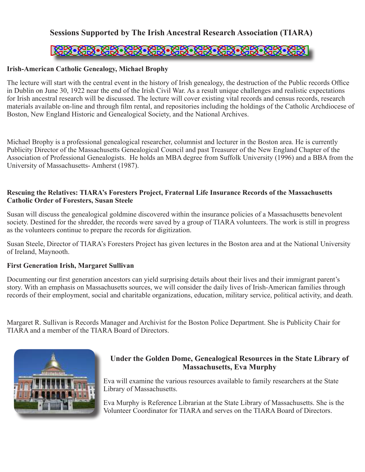#### **Sessions Supported by The Irish Ancestral Research Association (TIARA)**

## **NEW CROSS NEW CROSS CROSS CROSS**

#### **Irish-American Catholic Genealogy, Michael Brophy**

The lecture will start with the central event in the history of Irish genealogy, the destruction of the Public records Office in Dublin on June 30, 1922 near the end of the Irish Civil War. As a result unique challenges and realistic expectations for Irish ancestral research will be discussed. The lecture will cover existing vital records and census records, research materials available on-line and through film rental, and repositories including the holdings of the Catholic Archdiocese of Boston, New England Historic and Genealogical Society, and the National Archives.

Michael Brophy is a professional genealogical researcher, columnist and lecturer in the Boston area. He is currently Publicity Director of the Massachusetts Genealogical Council and past Treasurer of the New England Chapter of the Association of Professional Genealogists. He holds an MBA degree from Suffolk University (1996) and a BBA from the University of Massachusetts- Amherst (1987).

#### **Rescuing the Relatives: TIARA's Foresters Project, Fraternal Life Insurance Records of the Massachusetts Catholic Order of Foresters, Susan Steele**

Susan will discuss the genealogical goldmine discovered within the insurance policies of a Massachusetts benevolent society. Destined for the shredder, the records were saved by a group of TIARA volunteers. The work is still in progress as the volunteers continue to prepare the records for digitization.

Susan Steele, Director of TIARA's Foresters Project has given lectures in the Boston area and at the National University of Ireland, Maynooth.

#### **First Generation Irish, Margaret Sullivan**

Documenting our first generation ancestors can yield surprising details about their lives and their immigrant parent's story. With an emphasis on Massachusetts sources, we will consider the daily lives of Irish-American families through records of their employment, social and charitable organizations, education, military service, political activity, and death.

Margaret R. Sullivan is Records Manager and Archivist for the Boston Police Department. She is Publicity Chair for TIARA and a member of the TIARA Board of Directors.



#### **Under the Golden Dome, Genealogical Resources in the State Library of Massachusetts, Eva Murphy**

Eva will examine the various resources available to family researchers at the State Library of Massachusetts.

Eva Murphy is Reference Librarian at the State Library of Massachusetts. She is the Volunteer Coordinator for TIARA and serves on the TIARA Board of Directors.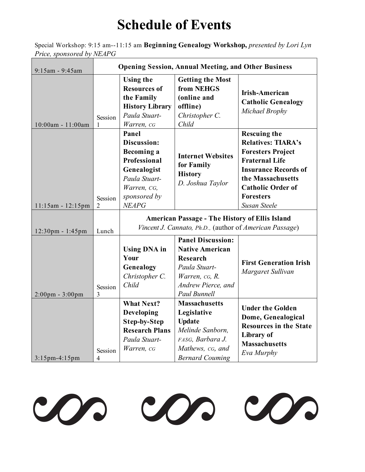# **Schedule of Events**

Special Workshop: 9:15 am--11:15 am **Beginning Genealogy Workshop,** *presented by Lori Lyn Price, sponsored by NEAPG*

| 9:15am - 9:45am                   | <b>Opening Session, Annual Meeting, and Other Business</b> |                                                                                                                                          |                                                                                                                                                       |                                                                                                                                                                                                                                  |  |
|-----------------------------------|------------------------------------------------------------|------------------------------------------------------------------------------------------------------------------------------------------|-------------------------------------------------------------------------------------------------------------------------------------------------------|----------------------------------------------------------------------------------------------------------------------------------------------------------------------------------------------------------------------------------|--|
| 10:00am - 11:00am                 | Session<br>1                                               | <b>Using the</b><br><b>Resources of</b><br>the Family<br><b>History Library</b><br>Paula Stuart-<br>Warren, cG                           | <b>Getting the Most</b><br>from NEHGS<br>(online and<br>offline)<br>Christopher C.<br>Child                                                           | <b>Irish-American</b><br><b>Catholic Genealogy</b><br>Michael Brophy                                                                                                                                                             |  |
| 11:15am - 12:15pm                 | Session<br>2                                               | Panel<br>Discussion:<br><b>Becoming a</b><br>Professional<br>Genealogist<br>Paula Stuart-<br>Warren, CG,<br>sponsored by<br><b>NEAPG</b> | <b>Internet Websites</b><br>for Family<br><b>History</b><br>D. Joshua Taylor                                                                          | <b>Rescuing the</b><br><b>Relatives: TIARA's</b><br><b>Foresters Project</b><br><b>Fraternal Life</b><br><b>Insurance Records of</b><br>the Massachusetts<br><b>Catholic Order of</b><br><b>Foresters</b><br><b>Susan Steele</b> |  |
| 12:30pm - 1:45pm                  | Lunch                                                      | <b>American Passage - The History of Ellis Island</b><br>Vincent J. Cannato, Ph.D., (author of American Passage)                         |                                                                                                                                                       |                                                                                                                                                                                                                                  |  |
| $2:00 \text{pm} - 3:00 \text{pm}$ | Session<br>3                                               | <b>Using DNA</b> in<br>Your<br>Genealogy<br>Christopher C.<br>Child                                                                      | <b>Panel Discussion:</b><br><b>Native American</b><br><b>Research</b><br>Paula Stuart-<br>Warren, cG, R.<br>Andrew Pierce, and<br><b>Paul Bunnell</b> | <b>First Generation Irish</b><br>Margaret Sullivan                                                                                                                                                                               |  |
| 3:15pm-4:15pm                     | Session<br>4                                               | <b>What Next?</b><br>Developing<br><b>Step-by-Step</b><br><b>Research Plans</b><br>Paula Stuart-<br>Warren, cG                           | <b>Massachusetts</b><br>Legislative<br><b>Update</b><br>Melinde Sanborn,<br>FASG, Barbara J.<br>Mathews, cG, and<br><b>Bernard Couming</b>            | <b>Under the Golden</b><br>Dome, Genealogical<br><b>Resources in the State</b><br>Library of<br><b>Massachusetts</b><br>Eva Murphy                                                                                               |  |

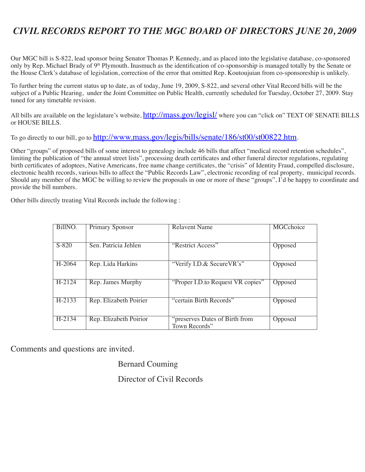## *CIVIL RECORDS REPORT TO THE MGC BOARD OF DIRECTORS JUNE 20, 2009*

Our MGC bill is S-822, lead sponsor being Senator Thomas P. Kennedy, and as placed into the legislative database, co-sponsored only by Rep. Michael Brady of 9th Plymouth. Inasmuch as the identification of co-sponsorship is managed totally by the Senate or the House Clerk's database of legislation, correction of the error that omitted Rep. Koutoujuian from co-sponsoreship is unlikely.

To further bring the current status up to date, as of today, June 19, 2009, S-822, and several other Vital Record bills will be the subject of a Public Hearing, under the Joint Committee on Public Health, currently scheduled for Tuesday, October 27, 2009. Stay tuned for any timetable revision.

All bills are available on the legislature's website, http://mass.gov/legisl/ where you can "click on" TEXT OF SENATE BILLS or HOUSE BILLS.

To go directly to our bill, go to http://www.mass.gov/legis/bills/senate/186/st00/st00822.htm.

Other "groups" of proposed bills of some interest to genealogy include 46 bills that affect "medical record retention schedules", limiting the publication of "the annual street lists", processing death certificates and other funeral director regulations, regulating birth certificates of adoptees, Native Americans, free name change certificates, the "crisis" of Identity Fraud, compelled disclosure, electronic health records, various bills to affect the "Public Records Law", electronic recording of real property, municipal records. Should any member of the MGC be willing to review the proposals in one or more of these "groups", I'd be happy to coordinate and provide the bill numbers.

Other bills directly treating Vital Records include the following :

| BillNO.  | <b>Primary Sponsor</b> | <b>Relavent Name</b>                            | <b>MGCchoice</b> |
|----------|------------------------|-------------------------------------------------|------------------|
| $S-820$  | Sen. Patricia Jehlen   | "Restrict Access"                               | Opposed          |
| H-2064   | Rep. Lida Harkins      | "Verify I.D.& Secure VR's"                      | Opposed          |
| $H-2124$ | Rep. James Murphy      | "Proper I.D.to Request VR copies"               | Opposed          |
| $H-2133$ | Rep. Elizabeth Poirier | "certain Birth Records"                         | Opposed          |
| $H-2134$ | Rep. Elizabeth Poirior | "preserves Dates of Birth from<br>Town Records" | Opposed          |

Comments and questions are invited.

Bernard Couming

Director of Civil Records